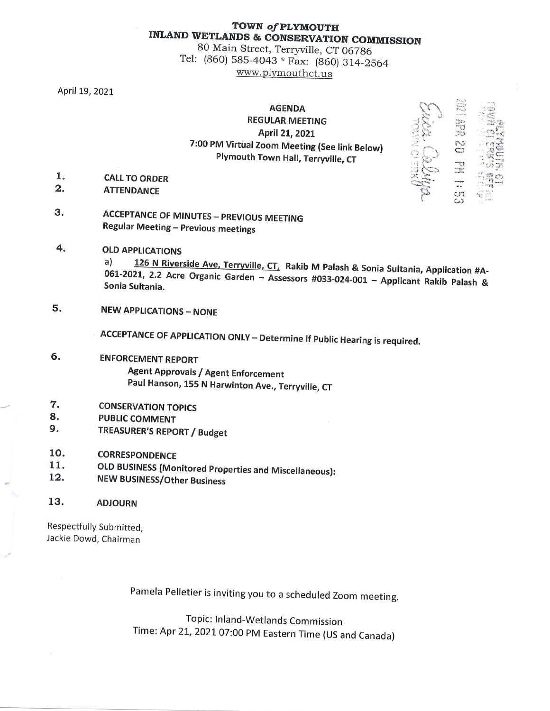## TOWN of PLYMOUTH **INLAND WETLANDS & CONSERVATION COMMISSION**

80 Main Street, Terryville, CT 06786 Tel: (860) 585-4043 \* Fax: (860) 314-2564 www.plymouthct.us

April 19, 2021

## **AGENDA REGULAR MEETING** April 21, 2021 7:00 PM Virtual Zoom Meeting (See link Below) Plymouth Town Hall, Terryville, CT

- 1. **CALL TO ORDER**
- $\mathbf{2}$ . **ATTENDANCE**
- 3. **ACCEPTANCE OF MINUTES - PREVIOUS MEETING Regular Meeting - Previous meetings**
- 4. **OLD APPLICATIONS** 126 N Riverside Ave, Terryville, CT, Rakib M Palash & Sonia Sultania, Application #A $a)$ 061-2021, 2.2 Acre Organic Garden - Assessors #033-024-001 - Applicant Rakib Palash & Sonia Sultania.
- 5. **NEW APPLICATIONS - NONE**

**ACCEPTANCE OF APPLICATION ONLY - Determine if Public Hearing is required.** 

- б. **ENFORCEMENT REPORT Agent Approvals / Agent Enforcement** Paul Hanson, 155 N Harwinton Ave., Terryville, CT
- 7. **CONSERVATION TOPICS**
- 8. **PUBLIC COMMENT**
- 9. **TREASURER'S REPORT / Budget**
- 10. **CORRESPONDENCE**
- 11. **OLD BUSINESS (Monitored Properties and Miscellaneous):**
- 12. **NEW BUSINESS/Other Business**
- 13. **ADJOURN**

Respectfully Submitted, Jackie Dowd, Chairman

Pamela Pelletier is inviting you to a scheduled Zoom meeting.

Topic: Inland-Wetlands Commission Time: Apr 21, 2021 07:00 PM Eastern Time (US and Canada)